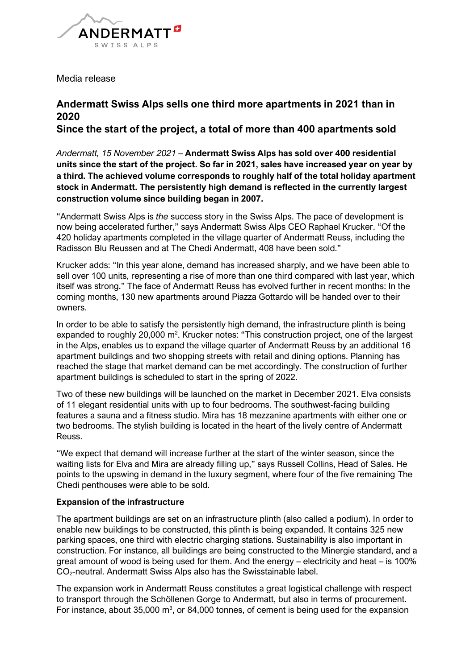

Media release

# **Andermatt Swiss Alps sells one third more apartments in 2021 than in 2020**

**Since the start of the project, a total of more than 400 apartments sold**

*Andermatt, 15 November 2021* – **Andermatt Swiss Alps has sold over 400 residential units since the start of the project. So far in 2021, sales have increased year on year by a third. The achieved volume corresponds to roughly half of the total holiday apartment stock in Andermatt. The persistently high demand is reflected in the currently largest construction volume since building began in 2007.** 

"Andermatt Swiss Alps is *the* success story in the Swiss Alps. The pace of development is now being accelerated further," says Andermatt Swiss Alps CEO Raphael Krucker. "Of the 420 holiday apartments completed in the village quarter of Andermatt Reuss, including the Radisson Blu Reussen and at The Chedi Andermatt, 408 have been sold."

Krucker adds: "In this year alone, demand has increased sharply, and we have been able to sell over 100 units, representing a rise of more than one third compared with last year, which itself was strong." The face of Andermatt Reuss has evolved further in recent months: In the coming months, 130 new apartments around Piazza Gottardo will be handed over to their owners.

In order to be able to satisfy the persistently high demand, the infrastructure plinth is being expanded to roughly 20,000 m<sup>2</sup>. Krucker notes: "This construction project, one of the largest in the Alps, enables us to expand the village quarter of Andermatt Reuss by an additional 16 apartment buildings and two shopping streets with retail and dining options. Planning has reached the stage that market demand can be met accordingly. The construction of further apartment buildings is scheduled to start in the spring of 2022.

Two of these new buildings will be launched on the market in December 2021. Elva consists of 11 elegant residential units with up to four bedrooms. The southwest-facing building features a sauna and a fitness studio. Mira has 18 mezzanine apartments with either one or two bedrooms. The stylish building is located in the heart of the lively centre of Andermatt Reuss.

"We expect that demand will increase further at the start of the winter season, since the waiting lists for Elva and Mira are already filling up," says Russell Collins, Head of Sales. He points to the upswing in demand in the luxury segment, where four of the five remaining The Chedi penthouses were able to be sold.

## **Expansion of the infrastructure**

The apartment buildings are set on an infrastructure plinth (also called a podium). In order to enable new buildings to be constructed, this plinth is being expanded. It contains 325 new parking spaces, one third with electric charging stations. Sustainability is also important in construction. For instance, all buildings are being constructed to the Minergie standard, and a great amount of wood is being used for them. And the energy – electricity and heat – is 100% CO<sub>2</sub>-neutral. Andermatt Swiss Alps also has the Swisstainable label.

The expansion work in Andermatt Reuss constitutes a great logistical challenge with respect to transport through the Schöllenen Gorge to Andermatt, but also in terms of procurement. For instance, about  $35,000 \text{ m}^3$ , or  $84,000$  tonnes, of cement is being used for the expansion